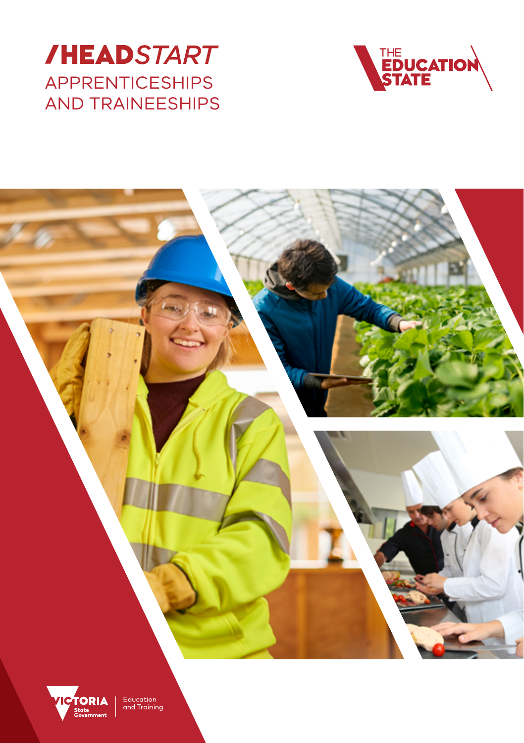





Education<br>and Training

ate<br>wernment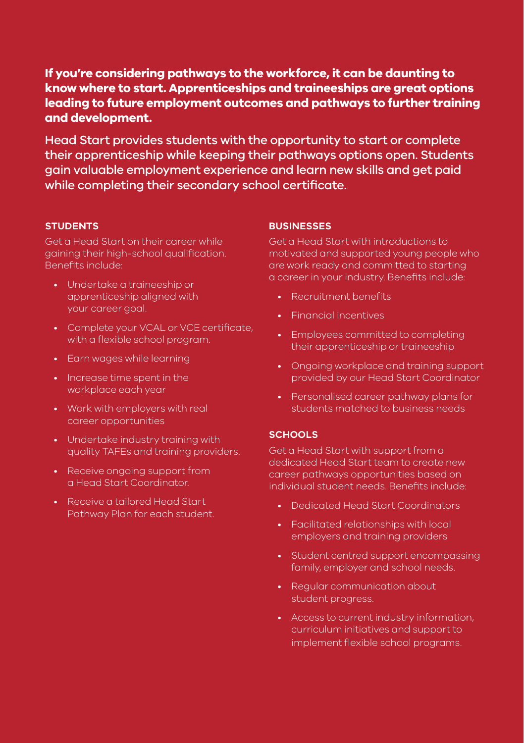## **If you're considering pathways to the workforce, it can be daunting to know where to start. Apprenticeships and traineeships are great options leading to future employment outcomes and pathways to further training and development.**

Head Start provides students with the opportunity to start or complete their apprenticeship while keeping their pathways options open. Students gain valuable employment experience and learn new skills and get paid while completing their secondary school certificate.

## **STUDENTS**

Get a Head Start on their career while gaining their high-school qualification. Benefits include:

- Undertake a traineeship or apprenticeship aligned with your career goal.
- Complete your VCAL or VCE certificate, with a flexible school program.
- Earn wages while learning
- Increase time spent in the workplace each year
- Work with employers with real career opportunities
- Undertake industry training with quality TAFEs and training providers.
- Receive ongoing support from a Head Start Coordinator.
- Receive a tailored Head Start Pathway Plan for each student.

## **BUSINESSES**

Get a Head Start with introductions to motivated and supported young people who are work ready and committed to starting a career in your industry. Benefits include:

- Recruitment benefits
- Financial incentives
- Employees committed to completing their apprenticeship or traineeship
- Ongoing workplace and training support provided by our Head Start Coordinator
- Personalised career pathway plans for students matched to business needs

## **SCHOOLS**

Get a Head Start with support from a dedicated Head Start team to create new career pathways opportunities based on individual student needs. Benefits include:

- Dedicated Head Start Coordinators
- Facilitated relationships with local employers and training providers
- Student centred support encompassing family, employer and school needs.
- Regular communication about student progress.
- Access to current industry information, curriculum initiatives and support to implement flexible school programs.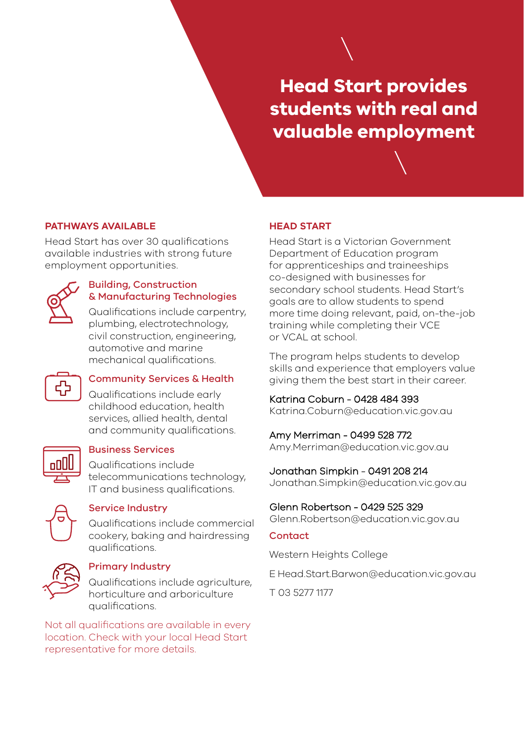# **Head Start provides students with real and valuable employment**

### **PATHWAYS AVAILABLE**

Head Start has over 30 qualifications available industries with strong future employment opportunities.



#### Building, Construction & Manufacturing Technologies

Qualifications include carpentry, plumbing, electrotechnology, civil construction, engineering, automotive and marine mechanical qualifications.



## Community Services & Health

Qualifications include early childhood education, health services, allied health, dental and community qualifications.



## Business Services

Qualifications include telecommunications technology, IT and business qualifications.



## Service Industry

Qualifications include commercial cookery, baking and hairdressing qualifications.



#### Primary Industry

Qualifications include agriculture, horticulture and arboriculture qualifications.

Not all qualifications are available in every location. Check with your local Head Start representative for more details.

#### **HEAD START**

Head Start is a Victorian Government Department of Education program for apprenticeships and traineeships co-designed with businesses for secondary school students. Head Start's goals are to allow students to spend more time doing relevant, paid, on-the-job training while completing their VCE or VCAL at school.

The program helps students to develop skills and experience that employers value giving them the best start in their career.

## Katrina Coburn - 0428 484 393

Katrina.Coburn@education.vic.gov.au

## Amy Merriman - 0499 528 772

Amy.Merriman@education.vic.gov.au

## Jonathan Simpkin - 0491 208 214

Jonathan.Simpkin@education.vic.gov.au

#### Glenn Robertson - 0429 525 329

Glenn.Robertson@education.vic.gov.au

#### Contact

[Western Heights College](https://goo.gl/maps/bWQFV5ba2yw3f951A)

E [Head.Start.Barwon@education.vic.gov.au](mailto:Head.Start.Barwon%40education.vic.gov.au?subject=)

T 03 5277 1177